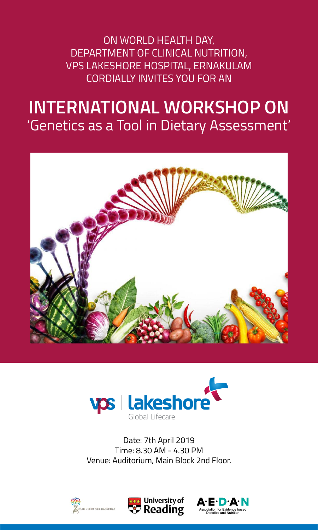ON WORLD HEALTH DAY, DEPARTMENT OF CLINICAL NUTRITION, VPS LAKESHORE HOSPITAL, ERNAKULAM CORDIALLY INVITES YOU FOR AN

# **INTERNATIONAL WORKSHOP ON** 'Genetics as a Tool in Dietary Assessment'





Date: 7th April 2019 Time: 8.30 AM - 4.30 PM Venue: Auditorium, Main Block 2nd Floor.





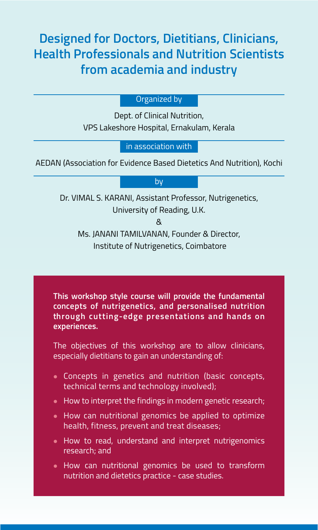# **Designed for Doctors, Dietitians, Clinicians, Health Professionals and Nutrition Scientists from academia and industry**

#### Organized by

Dept. of Clinical Nutrition, VPS Lakeshore Hospital, Ernakulam, Kerala

in association with

AEDAN (Association for Evidence Based Dietetics And Nutrition), Kochi

#### by

Dr. VIMAL S. KARANI, Assistant Professor, Nutrigenetics, University of Reading, U.K.

&

Ms. JANANI TAMILVANAN, Founder & Director, Institute of Nutrigenetics, Coimbatore

**This workshop style course will provide the fundamental concepts of nutrigenetics, and personalised nutrition through cutting-edge presentations and hands on experiences.**

The objectives of this workshop are to allow clinicians, especially dietitians to gain an understanding of:

- <sup>l</sup> Concepts in genetics and nutrition (basic concepts, technical terms and technology involved);
- $\bullet$  How to interpret the findings in modern genetic research;
- How can nutritional genomics be applied to optimize health, fitness, prevent and treat diseases;
- How to read, understand and interpret nutrigenomics research; and
- How can nutritional genomics be used to transform nutrition and dietetics practice - case studies.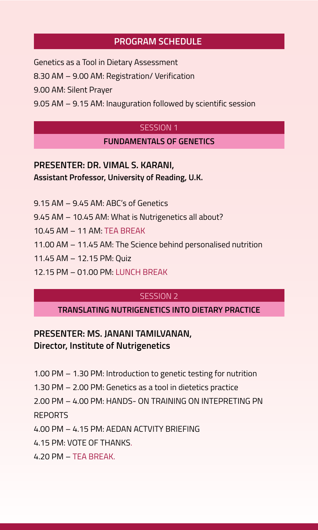## **PROGRAM SCHEDULE**

Genetics as a Tool in Dietary Assessment

8.30 AM – 9.00 AM: Registration/ Verification

9.00 AM: Silent Prayer

9.05 AM – 9.15 AM: Inauguration followed by scientific session

#### SESSION 1

#### **FUNDAMENTALS OF GENETICS**

# **PRESENTER: DR. VIMAL S. KARANI, Assistant Professor, University of Reading, U.K.**

9.15 AM – 9.45 AM: ABC's of Genetics

9.45 AM – 10.45 AM: What is Nutrigenetics all about?

10.45 AM – 11 AM: TEA BREAK

11.00 AM – 11.45 AM: The Science behind personalised nutrition

11.45 AM – 12.15 PM: Quiz

12.15 PM – 01.00 PM: LUNCH BREAK

## SESSION 2

#### **TRANSLATING NUTRIGENETICS INTO DIETARY PRACTICE**

# **PRESENTER: MS. JANANI TAMILVANAN, Director, Institute of Nutrigenetics**

1.00 PM – 1.30 PM: Introduction to genetic testing for nutrition

1.30 PM – 2.00 PM: Genetics as a tool in dietetics practice

2.00 PM – 4.00 PM: HANDS- ON TRAINING ON INTEPRETING PN REPORTS

4.00 PM – 4.15 PM: AEDAN ACTVITY BRIEFING

4.15 PM: VOTE OF THANKS.

4.20 PM – TEA BREAK.